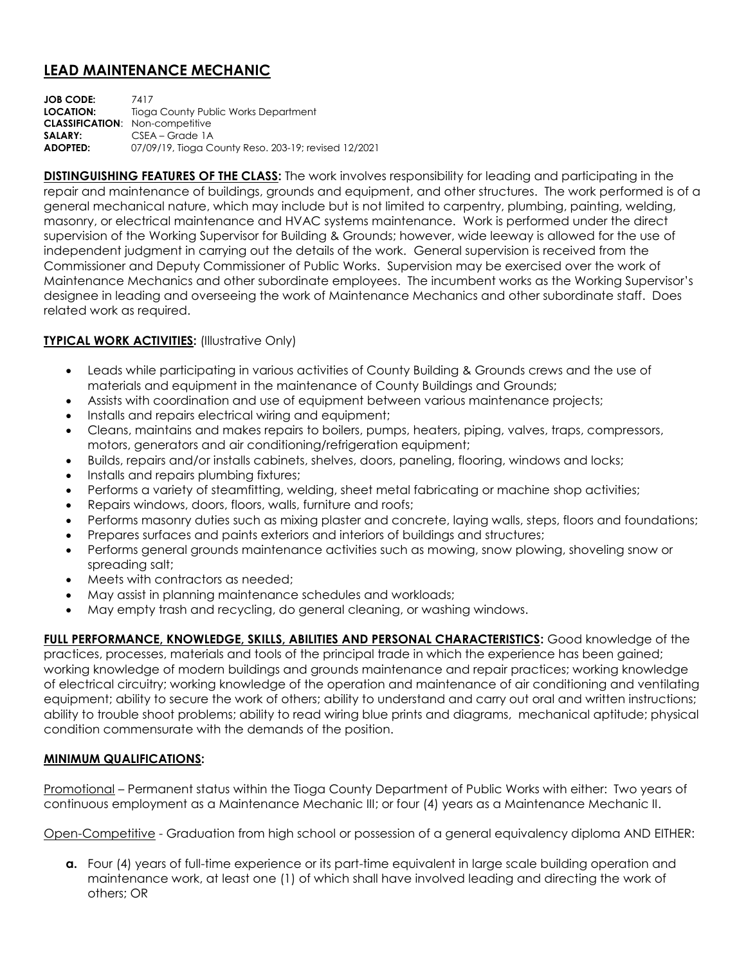## **LEAD MAINTENANCE MECHANIC**

**JOB CODE:** 7417 **LOCATION:** Tioga County Public Works Department **CLASSIFICATION**: Non-competitive **SALARY:** CSEA – Grade 1A **ADOPTED:** 07/09/19, Tioga County Reso. 203-19; revised 12/2021

**DISTINGUISHING FEATURES OF THE CLASS:** The work involves responsibility for leading and participating in the repair and maintenance of buildings, grounds and equipment, and other structures. The work performed is of a general mechanical nature, which may include but is not limited to carpentry, plumbing, painting, welding, masonry, or electrical maintenance and HVAC systems maintenance. Work is performed under the direct supervision of the Working Supervisor for Building & Grounds; however, wide leeway is allowed for the use of independent judgment in carrying out the details of the work. General supervision is received from the Commissioner and Deputy Commissioner of Public Works. Supervision may be exercised over the work of Maintenance Mechanics and other subordinate employees. The incumbent works as the Working Supervisor's designee in leading and overseeing the work of Maintenance Mechanics and other subordinate staff. Does related work as required.

## **TYPICAL WORK ACTIVITIES: (Illustrative Only)**

- Leads while participating in various activities of County Building & Grounds crews and the use of materials and equipment in the maintenance of County Buildings and Grounds;
- Assists with coordination and use of equipment between various maintenance projects;
- Installs and repairs electrical wiring and equipment;
- Cleans, maintains and makes repairs to boilers, pumps, heaters, piping, valves, traps, compressors, motors, generators and air conditioning/refrigeration equipment;
- Builds, repairs and/or installs cabinets, shelves, doors, paneling, flooring, windows and locks;
- Installs and repairs plumbing fixtures;
- Performs a variety of steamfitting, welding, sheet metal fabricating or machine shop activities;
- Repairs windows, doors, floors, walls, furniture and roofs;
- Performs masonry duties such as mixing plaster and concrete, laying walls, steps, floors and foundations;
- Prepares surfaces and paints exteriors and interiors of buildings and structures;
- Performs general grounds maintenance activities such as mowing, snow plowing, shoveling snow or spreading salt;
- Meets with contractors as needed;
- May assist in planning maintenance schedules and workloads;
- May empty trash and recycling, do general cleaning, or washing windows.

**FULL PERFORMANCE, KNOWLEDGE, SKILLS, ABILITIES AND PERSONAL CHARACTERISTICS:** Good knowledge of the practices, processes, materials and tools of the principal trade in which the experience has been gained; working knowledge of modern buildings and grounds maintenance and repair practices; working knowledge of electrical circuitry; working knowledge of the operation and maintenance of air conditioning and ventilating equipment; ability to secure the work of others; ability to understand and carry out oral and written instructions; ability to trouble shoot problems; ability to read wiring blue prints and diagrams, mechanical aptitude; physical condition commensurate with the demands of the position.

## **MINIMUM QUALIFICATIONS:**

Promotional – Permanent status within the Tioga County Department of Public Works with either: Two years of continuous employment as a Maintenance Mechanic III; or four (4) years as a Maintenance Mechanic II.

Open-Competitive - Graduation from high school or possession of a general equivalency diploma AND EITHER:

**a.** Four (4) years of full-time experience or its part-time equivalent in large scale building operation and maintenance work, at least one (1) of which shall have involved leading and directing the work of others; OR